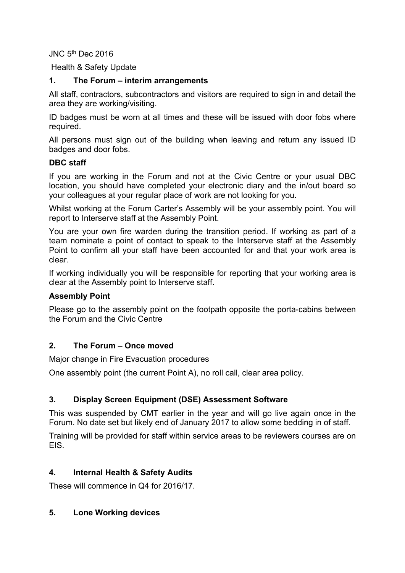JNC 5<sup>th</sup> Dec 2016

Health & Safety Update

### **1. The Forum – interim arrangements**

All staff, contractors, subcontractors and visitors are required to sign in and detail the area they are working/visiting.

ID badges must be worn at all times and these will be issued with door fobs where required.

All persons must sign out of the building when leaving and return any issued ID badges and door fobs.

### **DBC staff**

If you are working in the Forum and not at the Civic Centre or your usual DBC location, you should have completed your electronic diary and the in/out board so your colleagues at your regular place of work are not looking for you.

Whilst working at the Forum Carter's Assembly will be your assembly point. You will report to Interserve staff at the Assembly Point.

You are your own fire warden during the transition period. If working as part of a team nominate a point of contact to speak to the Interserve staff at the Assembly Point to confirm all your staff have been accounted for and that your work area is clear.

If working individually you will be responsible for reporting that your working area is clear at the Assembly point to Interserve staff.

#### **Assembly Point**

Please go to the assembly point on the footpath opposite the porta-cabins between the Forum and the Civic Centre

#### **2. The Forum – Once moved**

Major change in Fire Evacuation procedures

One assembly point (the current Point A), no roll call, clear area policy.

# **3. Display Screen Equipment (DSE) Assessment Software**

This was suspended by CMT earlier in the year and will go live again once in the Forum. No date set but likely end of January 2017 to allow some bedding in of staff.

Training will be provided for staff within service areas to be reviewers courses are on EIS.

# **4. Internal Health & Safety Audits**

These will commence in Q4 for 2016/17.

#### **5. Lone Working devices**